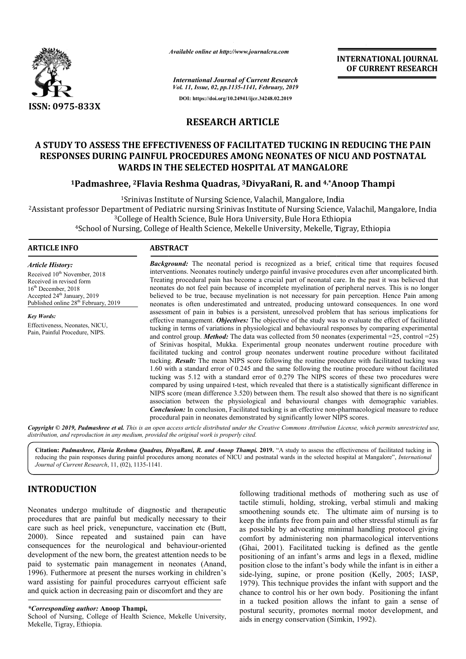

*Available online at http://www.journalcra.com*

*International Journal of Current Research Vol. 11, Issue, 02, pp.1135-1141, February, 2019* **DOI: https://doi.org/10.24941/ijcr.34248.02.2019**

**INTERNATIONAL JOURNAL OF CURRENT RESEARCH**

# **RESEARCH ARTICLE**

# **A STUDY TO ASSESS THE EFFECTIVENESS OF FACILITATED TUCKING IN REDUCING THE PAIN . STUDY TO ASSESS THE EFFECTIVENESS OF FACILITATED TUCKING IN REDUCING THE PAIN<br>RESPONSES DURING PAINFUL PROCEDURES AMONG NEONATES OF NICU AND POSTNATAL WARDS IN THE SELECTED HOSPITAL AT MANGALORE**

# **1Padmashree, 2Flavia Reshma Quadras, Flavia 3DivyaRani, R. and 4,\*Anoop Thampi Anoop**

1Srinivas Institute of Nursing Science, Valachil, Mangalore, India <sup>1</sup>Srinivas Institute of Nursing Science, Valachil, Mangalore, India<br>Assistant professor Department of Pediatric nursing Srinivas Institute of Nursing Science, Valachil, Mangalore, India? <sup>3</sup>College of Health Science, Bule Hora University, Bule Hora Ethiopia 4School of Nursing, College of Health Science, Mekelle University, Mekelle, Tigray, Ethiopia School of Health Science, Mekelle

### **ARTICLE INFO ABSTRACT**

*Article History:* Received 10<sup>th</sup> November, 2018 Received in revised form 16th December, 2018 Accepted 24<sup>th</sup> January, 2019 Published online 28<sup>th</sup> February, 2019

*Key Words:* Effectiveness, Neonates, NICU, Pain, Painful Procedure, NIPS.

**Background:** The neonatal period is recognized as a brief, critical time that requires focused interventions. Neonates routinely undergo painful invasive procedures even after uncomplicated birth. **Background:** The neonatal period is recognized as a brief, critical time that requires focused interventions. Neonates routinely undergo painful invasive procedures even after uncomplicated birth. Treating procedural pain neonates do not feel pain because of incomplete myelination of peripheral nerves. This is no longer believed to be true, because myelination is not necessary for pain perception. Hence Pain among neonates is often underestimated and untreated, producing untoward consequences. In one word assessment of pain in babies is a persistent, unresolved problem that has serious implications for effective management. *Objectives:* The objective of the study was to evaluate the effect of fac tucking in terms of variations in physiological and behavioural responses by comparing experimental and control group. *Method:* The data was collected from 50 neonates (experimental =25, control =25) of Srinivas hospital, Mukka. Experimental group neonates underwent routine procedure with facilitated tucking and control group neonates underwent routine procedure without facilitated tucking. *Result:* The mean NIPS score following the routine procedure with facilitated tucking was 1.60 with a standard error of 0.245 and the same following the routine procedure without facilitated tucking was 5.12 with a standard error of 0.279 The NIPS scores of these two procedures were compared by using unpaired t-test, which revealed that there is a statistically sig NIPS score (mean difference 3.520) between them. The result also showed that there is no significant association between the physiological and behavioural changes with demographic variables. NIPS score (mean difference 3.520) between them. The result also showed that there is no significant association between the physiological and behavioural changes with demographic variables. **Conclusion:** In conclusion, Fa procedural pain in neonates demonstrated by significantly lower NIPS scores. procedural neonates do not feel pain because of incomplete myelination of peripheral nerves. This is no longer believed to be true, because myelination is not necessary for pain perception. Hence Pain among neonates is often underest tucking in terms of variations in physiological and behavioural responses by comparing experimental<br>and control group. *Method*: The data was collected from 50 neonates (experimental =25, control =25)<br>of Srinivas hospital,

Copyright © 2019, Padmashree et al. This is an open access article distributed under the Creative Commons Attribution License, which permits unrestricted use, *distribution, and reproduction in any medium, provided the original work is properly cited.*

**Citation:** *Padmashree, Flavia Reshma Quadras, DivyaRani, R. and Anoop Thampi.* **2019.** "A study to assess the effectiveness of facilitated tucking in Citation: Padmashree, Flavia Reshma Quadras, DivyaRani, R. and Anoop Thampi. 2019. "A study to assess the effectiveness of facilitated tucking in<br>reducing the pain responses during painful procedures among neonates of NICU *Journal of Current Research*, 11, (02), 1135-1141.

# **INTRODUCTION**

Neonates undergo multitude of diagnostic and therapeutic procedures that are painful but medically necessary to their care such as heel prick, venepuncture, vaccination etc (Butt, 2000). Since repeated and sustained pain can have consequences for the neurological and behaviour behaviour-oriented development of the new born, the greatest attention needs to be paid to systematic pain management in neonates (Anand, 1996). Futhermore at present the nurses working in children's ward assisting for painful procedures carryout efficient safe and quick action in decreasing pain or discomfort and they are

School of Nursing, College of Health Science, Mekelle University, Mekelle, Tigray, Ethiopia.

following traditional methods of mothering such as use of tactile stimuli, holding, stroking, verbal stimuli and making smoothening sounds etc. The ultimate aim of nursing is to keep the infants free from pain and other stressful stimuli as far as possible by advocating minimal handling protocol giving comfort by administering non pharmacological interventions (Ghai, 2001). Facilitated tucking is defined as the gentle positioning of an infant's arms and legs in a flexed, midline position close to the infant's body while the infant is in either a (Ghai, 2001). Facilitated tucking is defined as the gentle positioning of an infant's arms and legs in a flexed, midline position close to the infant's body while the infant is in either a side-lying, supine, or prone posi 1979). This technique provides the infant with support and the chance to control his or her own body. Positioning the infant in a tucked position allows the infant to gain a sense of postural security, promotes normal motor development, and aids in energy conservation (Simkin traditional methods of mothering such as use o<br>nuli, holding, stroking, verbal stimuli and makin<br>ng sounds etc. The ultimate aim of nursing is t<br>fants free from pain and other stressful stimuli as fa<br>e by advocating minima This technique provides the infant with support and the e to control his or her own body. Positioning the infant tucked position allows the infant to gain a sense of ral security, promotes normal motor development, and nen

*<sup>\*</sup>Corresponding author:* **Anoop Thampi,**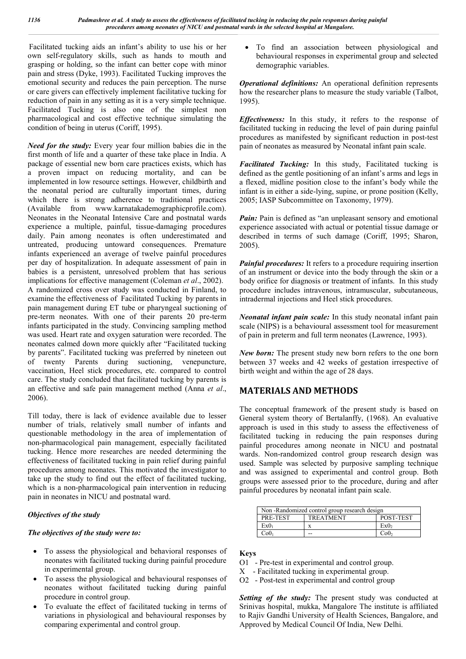Facilitated tucking aids an infant's ability to use his or her own self-regulatory skills, such as hands to mouth and grasping or holding, so the infant can better cope with minor pain and stress (Dyke, 1993). Facilitated Tucking improves the emotional security and reduces the pain perception. The nurse or care givers can effectively implement facilitative tucking for reduction of pain in any setting as it is a very simple technique. Facilitated Tucking is also one of the simplest non pharmacological and cost effective technique simulating the condition of being in uterus (Coriff, 1995).

*Need for the study:* Every year four million babies die in the first month of life and a quarter of these take place in India. A package of essential new born care practices exists, which has a proven impact on reducing mortality, and can be implemented in low resource settings. However, childbirth and the neonatal period are culturally important times, during which there is strong adherence to traditional practices (Available from www.karnatakademographicprofile.com). Neonates in the Neonatal Intensive Care and postnatal wards experience a multiple, painful, tissue-damaging procedures daily. Pain among neonates is often underestimated and untreated, producing untoward consequences. Premature infants experienced an average of twelve painful procedures per day of hospitalization. In adequate assessment of pain in babies is a persistent, unresolved problem that has serious implications for effective management (Coleman *et al*., 2002). A randomized cross over study was conducted in Finland, to examine the effectiveness of Facilitated Tucking by parents in pain management during ET tube or pharyngeal suctioning of pre-term neonates. With one of their parents 20 pre-term infants participated in the study. Convincing sampling method was used. Heart rate and oxygen saturation were recorded. The neonates calmed down more quickly after "Facilitated tucking by parents". Facilitated tucking was preferred by nineteen out of twenty Parents during suctioning, venepuncture, vaccination, Heel stick procedures, etc. compared to control care. The study concluded that facilitated tucking by parents is an effective and safe pain management method (Anna *et al*.,

Till today, there is lack of evidence available due to lesser number of trials, relatively small number of infants and questionable methodology in the area of implementation of non-pharmacological pain management, especially facilitated tucking. Hence more researches are needed determining the effectiveness of facilitated tucking in pain relief during painful procedures among neonates. This motivated the investigator to take up the study to find out the effect of facilitated tucking, which is a non-pharmacological pain intervention in reducing pain in neonates in NICU and postnatal ward.

## *Objectives of the study*

2006).

#### *The objectives of the study were to:*

- To assess the physiological and behavioral responses of neonates with facilitated tucking during painful procedure in experimental group.
- To assess the physiological and behavioural responses of neonates without facilitated tucking during painful procedure in control group.
- To evaluate the effect of facilitated tucking in terms of variations in physiological and behavioural responses by comparing experimental and control group.

 To find an association between physiological and behavioural responses in experimental group and selected demographic variables.

*Operational definitions:* An operational definition represents how the researcher plans to measure the study variable (Talbot, 1995).

*Effectiveness:* In this study, it refers to the response of facilitated tucking in reducing the level of pain during painful procedures as manifested by significant reduction in post-test pain of neonates as measured by Neonatal infant pain scale.

*Facilitated Tucking:* In this study, Facilitated tucking is defined as the gentle positioning of an infant's arms and legs in a flexed, midline position close to the infant's body while the infant is in either a side-lying, supine, or prone position (Kelly, 2005; IASP Subcommittee on Taxonomy, 1979).

Pain: Pain is defined as "an unpleasant sensory and emotional experience associated with actual or potential tissue damage or described in terms of such damage (Coriff, 1995; Sharon, 2005).

*Painful procedures:* It refers to a procedure requiring insertion of an instrument or device into the body through the skin or a body orifice for diagnosis or treatment of infants. In this study procedure includes intravenous, intramuscular, subcutaneous, intradermal injections and Heel stick procedures.

*Neonatal infant pain scale:* In this study neonatal infant pain scale (NIPS) is a behavioural assessment tool for measurement of pain in preterm and full term neonates (Lawrence, 1993).

*New born:* The present study new born refers to the one born between 37 weeks and 42 weeks of gestation irrespective of birth weight and within the age of 28 days.

# **MATERIALS AND METHODS**

The conceptual framework of the present study is based on General system theory of Bertalanffy, (1968). An evaluative approach is used in this study to assess the effectiveness of facilitated tucking in reducing the pain responses during painful procedures among neonate in NICU and postnatal wards. Non-randomized control group research design was used. Sample was selected by purposive sampling technique and was assigned to experimental and control group. Both groups were assessed prior to the procedure, during and after painful procedures by neonatal infant pain scale.

| Non-Randomized control group research design |                  |                  |  |  |  |  |
|----------------------------------------------|------------------|------------------|--|--|--|--|
| PRE-TEST                                     | <b>TREATMENT</b> | POST-TEST        |  |  |  |  |
| Ex0 <sub>1</sub>                             |                  | Ex0 <sub>2</sub> |  |  |  |  |
| Co0                                          |                  | Co0 <sub>2</sub> |  |  |  |  |

#### **Keys**

- O1 Pre-test in experimental and control group.
- X Facilitated tucking in experimental group.
- O2 Post-test in experimental and control group

*Setting of the study:* The present study was conducted at Srinivas hospital, mukka, Mangalore The institute is affiliated to Rajiv Gandhi University of Health Sciences, Bangalore, and Approved by Medical Council Of India, New Delhi.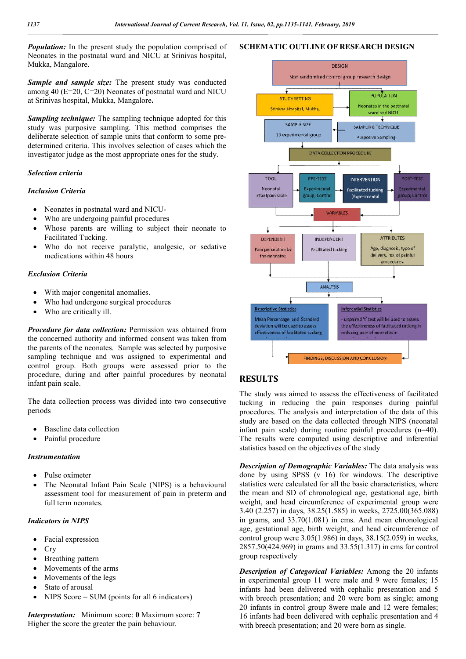*Population:* In the present study the population comprised of Neonates in the postnatal ward and NICU at Srinivas hospital, Mukka, Mangalore.

*Sample and sample size:* The present study was conducted among 40 (E=20, C=20) Neonates of postnatal ward and NICU at Srinivas hospital, Mukka, Mangalore**.**

*Sampling technique:* The sampling technique adopted for this study was purposive sampling. This method comprises the deliberate selection of sample units that conform to some predetermined criteria. This involves selection of cases which the investigator judge as the most appropriate ones for the study.

## *Selection criteria*

#### *Inclusion Criteria*

- Neonates in postnatal ward and NICU-
- Who are undergoing painful procedures
- Whose parents are willing to subject their neonate to Facilitated Tucking.
- Who do not receive paralytic, analgesic, or sedative medications within 48 hours

#### *Exclusion Criteria*

- With major congenital anomalies.
- Who had undergone surgical procedures
- Who are critically ill.

*Procedure for data collection:* Permission was obtained from the concerned authority and informed consent was taken from the parents of the neonates. Sample was selected by purposive sampling technique and was assigned to experimental and control group. Both groups were assessed prior to the procedure, during and after painful procedures by neonatal infant pain scale.

The data collection process was divided into two consecutive periods

- Baseline data collection
- Painful procedure

#### *Instrumentation*

- Pulse oximeter
- The Neonatal Infant Pain Scale (NIPS) is a behavioural assessment tool for measurement of pain in preterm and full term neonates.

## *Indicators in NIPS*

- Facial expression
- Cry
- Breathing pattern
- Movements of the arms
- Movements of the legs
- State of arousal
- NIPS Score  $=$  SUM (points for all 6 indicators)

*Interpretation:* Minimum score: **0** Maximum score: **7**  Higher the score the greater the pain behaviour.





## **RESULTS**

The study was aimed to assess the effectiveness of facilitated tucking in reducing the pain responses during painful procedures. The analysis and interpretation of the data of this study are based on the data collected through NIPS (neonatal infant pain scale) during routine painful procedures  $(n=40)$ . The results were computed using descriptive and inferential statistics based on the objectives of the study The study was aimed to assess the effectiveness of facilitated tucking in reducing the pain responses during painful procedures. The analysis and interpretation of the data of this study are based on the data collected th

**Description of Demographic Variables:** The data analysis was done by using SPSS (v 16) for windows. The descriptive statistics were calculated for all the basic characteristics, where the mean and SD of chronological age, gestational age, birth weight, and head circumference of experimental group were 3.40 (2.257) in days, 38.25(1.585) in weeks, 2725.00(365.088) in grams, and 33.70(1.081) in cms. And mean chronological age, gestational age, birth weight, and head circumference of control group were  $3.05(1.986)$  in days,  $38.15(2.059)$  in weeks,  $2857.50(424.969)$  in grams and  $33.55(1.317)$  in cms for control group respectively by using SPSS (v 16) for windows. The descriptive<br>tics were calculated for all the basic characteristics, where<br>nean and SD of chronological age, gestational age, birth<br>ht, and head circumference of experimental group wer

**Description of Categorical Variables:** Among the 20 infants in experimental group 11 were male and 9 were females; 15 infants had been delivered with cephalic presentation and 5 with breech presentation; and 20 were born as single; among 20 infants in control group 8were male and 12 were females; 16 infants had been delivered with cephalic presentation and 4 with breech presentation; and 20 were born as single.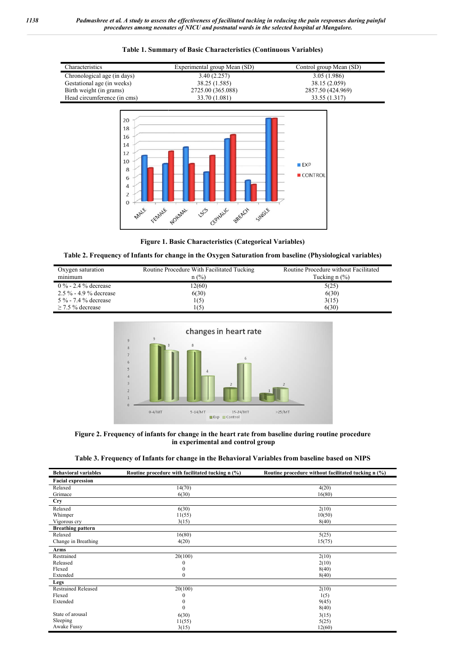

#### **Table 1. Summary of Basic Characteristics (Continuous Variables)**



#### Table 2. Frequency of Infants for change in the Oxygen Saturation from baseline (Physiological variables)

| Oxygen saturation        | Routine Procedure With Facilitated Tucking | Routine Procedure without Facilitated  |  |  |
|--------------------------|--------------------------------------------|----------------------------------------|--|--|
| minimum                  | $n$ (%)                                    | Tucking $n$ $\left(\frac{9}{6}\right)$ |  |  |
| $0\%$ - 2.4 % decrease   | 2(60)                                      | 5(25)                                  |  |  |
| $2.5\%$ - 4.9 % decrease | 6(30)                                      | 6(30)                                  |  |  |
| 5 % - 7.4 % decrease     | 1(5)                                       | 3(15)                                  |  |  |
| $>$ 7.5 % decrease       | 1(5)                                       | 6(30)                                  |  |  |



**Figure 2. Frequency of infants for change in the heart rate from baseline during routine procedure in experimental and control group**

|  |  | Table 3. Frequency of Infants for change in the Behavioral Variables from baseline based on NIPS |  |
|--|--|--------------------------------------------------------------------------------------------------|--|
|  |  |                                                                                                  |  |

| <b>Behavioral variables</b> | Routine procedure with facilitated tucking n (%) | Routine procedure without facilitated tucking n (%) |  |  |
|-----------------------------|--------------------------------------------------|-----------------------------------------------------|--|--|
| <b>Facial expression</b>    |                                                  |                                                     |  |  |
| Relaxed                     | 14(70)                                           | 4(20)                                               |  |  |
| Grimace                     | 6(30)                                            | 16(80)                                              |  |  |
| <b>Cry</b>                  |                                                  |                                                     |  |  |
| Relaxed                     | 6(30)                                            | 2(10)                                               |  |  |
| Whimper                     | 11(55)                                           | 10(50)                                              |  |  |
| Vigorous cry                | 3(15)                                            | 8(40)                                               |  |  |
| <b>Breathing pattern</b>    |                                                  |                                                     |  |  |
| Relaxed                     | 16(80)                                           | 5(25)                                               |  |  |
| Change in Breathing         | 4(20)                                            | 15(75)                                              |  |  |
| Arms                        |                                                  |                                                     |  |  |
| Restrained                  | 20(100)                                          | 2(10)                                               |  |  |
| Released                    | U                                                | 2(10)                                               |  |  |
| Flexed                      |                                                  | 8(40)                                               |  |  |
| Extended                    | 0                                                | 8(40)                                               |  |  |
| Legs                        |                                                  |                                                     |  |  |
| <b>Restrained Released</b>  | 20(100)                                          | 2(10)                                               |  |  |
| Flexed                      |                                                  | 1(5)                                                |  |  |
| Extended                    | 0                                                | 9(45)                                               |  |  |
|                             | 0                                                | 8(40)                                               |  |  |
| State of arousal            | 6(30)                                            | 3(15)                                               |  |  |
| Sleeping                    | 11(55)                                           | 5(25)                                               |  |  |
| Awake Fussy                 | 3(15)                                            | 12(60)                                              |  |  |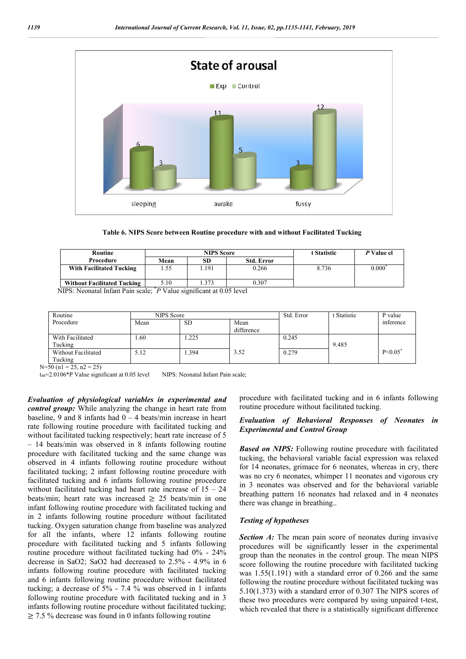

**Table 6. NIPS Score between Routine procedure with and without Facilitated Tucking**

| <b>Routine</b>                     | <b>NIPS</b> Score |      |                   | t Statistic | P Value el     |
|------------------------------------|-------------------|------|-------------------|-------------|----------------|
| Procedure                          | Mean              | SD   | <b>Std. Error</b> |             |                |
| <b>With Facilitated Tucking</b>    |                   | .191 | 0.266             | 8.736       | $0.000\degree$ |
| <b>Without Facilitated Tucking</b> | 5.10              | .373 | 0.307             |             |                |

NIPS: Neonatal Infant Pain scale; \* *P* Value significant at 0.05 level

| Routine             | NIPS Score |           |                    | Std. Error | t Statistic | P value      |
|---------------------|------------|-----------|--------------------|------------|-------------|--------------|
| Procedure           | Mean       | <b>SD</b> | Mean<br>difference |            |             | inference    |
|                     |            |           |                    |            |             |              |
| With Facilitated    | .60        | .225      |                    | 0.245      |             |              |
| Tucking             |            |           |                    |            | 9.485       |              |
| Without Facilitated | 5.12       | .394      | 3.52               | 0.279      |             | $P \le 0.05$ |
| Tucking             |            |           |                    |            |             |              |

 $N=50$  (n1 = 25, n2 = 25)

t<sub>48</sub>=2.0106\*P Value significant at 0.05 level NIPS: Neonatal Infant Pain scale;

*Evaluation of physiological variables in experimental and control group:* While analyzing the change in heart rate from baseline, 9 and 8 infants had  $0 - 4$  beats/min increase in heart rate following routine procedure with facilitated tucking and without facilitated tucking respectively; heart rate increase of 5 – 14 beats/min was observed in 8 infants following routine procedure with facilitated tucking and the same change was observed in 4 infants following routine procedure without facilitated tucking; 2 infant following routine procedure with facilitated tucking and 6 infants following routine procedure without facilitated tucking had heart rate increase of  $15 - 24$ beats/min; heart rate was increased  $\geq$  25 beats/min in one infant following routine procedure with facilitated tucking and in 2 infants following routine procedure without facilitated tucking. Oxygen saturation change from baseline was analyzed for all the infants, where 12 infants following routine procedure with facilitated tucking and 5 infants following routine procedure without facilitated tucking had 0% - 24% decrease in SaO2; SaO2 had decreased to  $2.5\%$  -  $4.9\%$  in 6 infants following routine procedure with facilitated tucking and 6 infants following routine procedure without facilitated tucking; a decrease of 5% - 7.4 % was observed in 1 infants following routine procedure with facilitated tucking and in 3 infants following routine procedure without facilitated tucking;  $\geq$  7.5 % decrease was found in 0 infants following routine s observed in 8 infants following routine<br>ilitated tucking and the same change was<br>ants following routine procedure without<br>2 infant following routine procedure with<br>and 6 infants following routine procedure<br>tucking had h **siological variables in experimental and** procedure with facilitated tucking and in 6 leanlyzing the change in heart rate from the rocedure without facilitated tucking in the fanta for the fact in the similar of **Behavio EXERCT SETTER INTEREF ACTES AND THE SET IN THE SET IN THE SET IN THE SET IN THE SET IN THE SET IN THE SET IN THE SET IN THE SET IN THE SET IN THE SET IN THE SET IN THE SET IN THE BATE IN THE SET IN THE SET IN THE SET IN T** 

routine procedure without facilitated tucking. procedure with facilitated tucking and in 6 infants following

#### *Evaluation of Behavioral Responses of Neonates in Experimental and Control Group Group*

*Based on NIPS:* Following routine procedure with facilitated tucking, the behavioral variable facial expression was relaxed for 14 neonates, grimace for 6 neonates, whereas in cry, there was no cry 6 neonates, whimper 11 neonates and vigorous cry in 3 neonates was observed and for the behavioral variable breathing pattern 16 neonates had relaxed and in 4 neonates there was change in breathing.. **Based on NIPS:** Following routine procedure with facilitated tucking, the behavioral variable facial expression was relaxed for 14 neonates, grimace for 6 neonates, whereas in cry, there was no cry 6 neonates, whimper 11

#### *Testing of hypotheses*

**Section A:** The mean pain score of neonates during invasive procedures will be significantly lesser in the group than the neonates in the control group. The mean NIPS score following the routine procedure with facilitated tucking was 1.55(1.191) with a standard error of 0.266 and the same was  $1.55(1.191)$  with a standard error of 0.266 and the same following the routine procedure without facilitated tucking was 5.10(1.373) with a standard error of 0.307 The NIPS scores of  $5.10(1.373)$  with a standard error of 0.307 The NIPS scores of these two procedures were compared by using unpaired t-test, which revealed that there is a statistically significant difference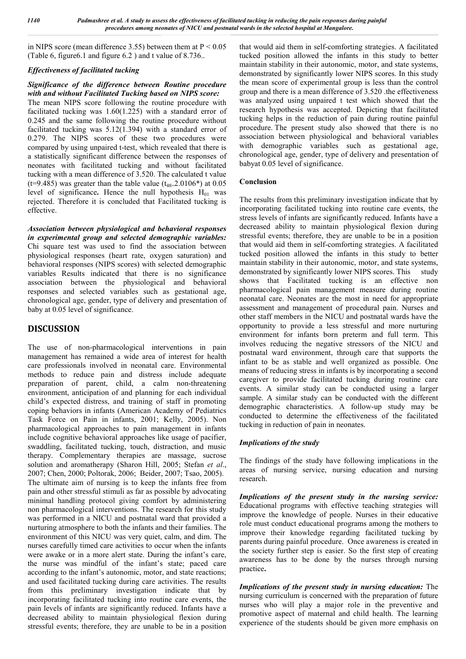in NIPS score (mean difference 3.55) between them at  $P < 0.05$ (Table 6, figure6.1 and figure 6.2 ) and t value of 8.736..

## *Effectiveness of facilitated tucking*

### *Significance of the difference between Routine procedure with and without Facilitated Tucking based on NIPS score:*

The mean NIPS score following the routine procedure with facilitated tucking was 1.60(1.225) with a standard error of 0.245 and the same following the routine procedure without facilitated tucking was 5.12(1.394) with a standard error of 0.279. The NIPS scores of these two procedures were compared by using unpaired t-test, which revealed that there is a statistically significant difference between the responses of neonates with facilitated tucking and without facilitated tucking with a mean difference of 3.520. The calculated t value (t=9.485) was greater than the table value  $(t_{48}=2.0106*)$  at 0.05 level of significance. Hence the null hypothesis  $H_{01}$  was rejected. Therefore it is concluded that Facilitated tucking is effective.

*Association between physiological and behavioral responses in experimental group and selected demographic variables:* Chi square test was used to find the association between physiological responses (heart rate, oxygen saturation) and behavioral responses (NIPS scores) with selected demographic variables Results indicated that there is no significance association between the physiological and behavioral responses and selected variables such as gestational age, chronological age, gender, type of delivery and presentation of baby at 0.05 level of significance.

# **DISCUSSION**

The use of non-pharmacological interventions in pain management has remained a wide area of interest for health care professionals involved in neonatal care. Environmental methods to reduce pain and distress include adequate preparation of parent, child, a calm non-threatening environment, anticipation of and planning for each individual child's expected distress, and training of staff in promoting coping behaviors in infants (American Academy of Pediatrics Task Force on Pain in infants, 2001; Kelly, 2005). Non pharmacological approaches to pain management in infants include cognitive behavioral approaches like usage of pacifier, swaddling, facilitated tucking, touch, distraction, and music therapy. Complementary therapies are massage, sucrose solution and aromatherapy (Sharon Hill, 2005; Stefan *et al*., 2007; Chen, 2000; Poltorak, 2006; Beider, 2007; Tsao, 2005). The ultimate aim of nursing is to keep the infants free from pain and other stressful stimuli as far as possible by advocating minimal handling protocol giving comfort by administering non pharmacological interventions. The research for this study was performed in a NICU and postnatal ward that provided a nurturing atmosphere to both the infants and their families. The environment of this NICU was very quiet, calm, and dim. The nurses carefully timed care activities to occur when the infants were awake or in a more alert state. During the infant's care, the nurse was mindful of the infant's state; paced care according to the infant's autonomic, motor, and state reactions; and used facilitated tucking during care activities. The results from this preliminary investigation indicate that by incorporating facilitated tucking into routine care events, the pain levels of infants are significantly reduced. Infants have a decreased ability to maintain physiological flexion during stressful events; therefore, they are unable to be in a position

that would aid them in self-comforting strategies. A facilitated tucked position allowed the infants in this study to better maintain stability in their autonomic, motor, and state systems, demonstrated by significantly lower NIPS scores. In this study the mean score of experimental group is less than the control group and there is a mean difference of 3.520 .the effectiveness was analyzed using unpaired t test which showed that the research hypothesis was accepted. Depicting that facilitated tucking helps in the reduction of pain during routine painful procedure. The present study also showed that there is no association between physiological and behavioral variables with demographic variables such as gestational age, chronological age, gender, type of delivery and presentation of babyat 0.05 level of significance.

## **Conclusion**

The results from this preliminary investigation indicate that by incorporating facilitated tucking into routine care events, the stress levels of infants are significantly reduced. Infants have a decreased ability to maintain physiological flexion during stressful events; therefore, they are unable to be in a position that would aid them in self-comforting strategies. A facilitated tucked position allowed the infants in this study to better maintain stability in their autonomic, motor, and state systems, demonstrated by significantly lower NIPS scores. This study shows that Facilitated tucking is an effective non pharmacological pain management measure during routine neonatal care. Neonates are the most in need for appropriate assessment and management of procedural pain. Nurses and other staff members in the NICU and postnatal wards have the opportunity to provide a less stressful and more nurturing environment for infants born preterm and full term. This involves reducing the negative stressors of the NICU and postnatal ward environment, through care that supports the infant to be as stable and well organized as possible. One means of reducing stress in infants is by incorporating a second caregiver to provide facilitated tucking during routine care events. A similar study can be conducted using a larger sample. A similar study can be conducted with the different demographic characteristics. A follow-up study may be conducted to determine the effectiveness of the facilitated tucking in reduction of pain in neonates.

#### *Implications of the study*

The findings of the study have following implications in the areas of nursing service, nursing education and nursing research.

*Implications of the present study in the nursing service:* Educational programs with effective teaching strategies will improve the knowledge of people. Nurses in their educative role must conduct educational programs among the mothers to improve their knowledge regarding facilitated tucking by parents during painful procedure. Once awareness is created in the society further step is easier. So the first step of creating awareness has to be done by the nurses through nursing practice**.**

*Implications of the present study in nursing education:* The nursing curriculum is concerned with the preparation of future nurses who will play a major role in the preventive and promotive aspect of maternal and child health. The learning experience of the students should be given more emphasis on